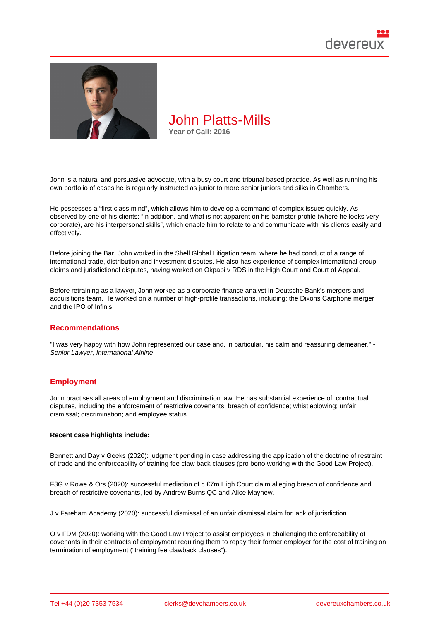

John is a natural and persuasive advocate, with a busy court and tribunal based practice. As well as running his own portfolio of cases he is regularly instructed as junior to more senior juniors and silks in Chambers.

He possesses a "first class mind", which allows him to develop a command of complex issues quickly. As observed by one of his clients: "in addition, and what is not apparent on his barrister profile (where he looks very corporate), are his interpersonal skills", which enable him to relate to and communicate with his clients easily and effectively.

Before joining the Bar, John worked in the Shell Global Litigation team, where he had conduct of a range of international trade, distribution and investment disputes. He also has experience of complex international group claims and jurisdictional disputes, having worked on Okpabi v RDS in the High Court and Court of Appeal.

Before retraining as a lawyer, John worked as a corporate finance analyst in Deutsche Bank's mergers and acquisitions team. He worked on a number of high-profile transactions, including: the Dixons Carphone merger and the IPO of Infinis.

#### Recommendations

"I was very happy with how John represented our case and, in particular, his calm and reassuring demeaner." - Senior Lawyer, International Airline

## **Employment**

John practises all areas of employment and discrimination law. He has substantial experience of: contractual disputes, including the enforcement of restrictive covenants; breach of confidence; whistleblowing; unfair dismissal; discrimination; and employee status.

Recent case highlights include:

Bennett and Day v Geeks (2020): judgment pending in case addressing the application of the doctrine of restraint of trade and the enforceability of training fee claw back clauses (pro bono working with the Good Law Project).

F3G v Rowe & Ors (2020): successful mediation of c.£7m High Court claim alleging breach of confidence and breach of restrictive covenants, led by Andrew Burns QC and Alice Mayhew.

J v Fareham Academy (2020): successful dismissal of an unfair dismissal claim for lack of jurisdiction.

O v FDM (2020): working with the Good Law Project to assist employees in challenging the enforceability of covenants in their contracts of employment requiring them to repay their former employer for the cost of training on termination of employment ("training fee clawback clauses").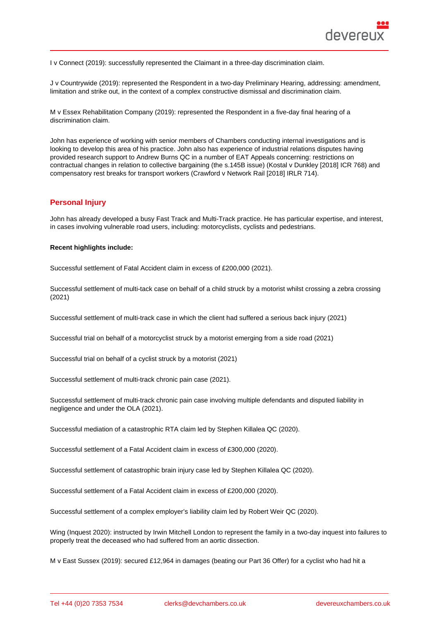I v Connect (2019): successfully represented the Claimant in a three-day discrimination claim.

J v Countrywide (2019): represented the Respondent in a two-day Preliminary Hearing, addressing: amendment, limitation and strike out, in the context of a complex constructive dismissal and discrimination claim.

M v Essex Rehabilitation Company (2019): represented the Respondent in a five-day final hearing of a discrimination claim.

John has experience of working with senior members of Chambers conducting internal investigations and is looking to develop this area of his practice. John also has experience of industrial relations disputes having provided research support to Andrew Burns QC in a number of EAT Appeals concerning: restrictions on contractual changes in relation to collective bargaining (the s.145B issue) (Kostal v Dunkley [2018] ICR 768) and compensatory rest breaks for transport workers (Crawford v Network Rail [2018] IRLR 714).

## Personal Injury

John has already developed a busy Fast Track and Multi-Track practice. He has particular expertise, and interest, in cases involving vulnerable road users, including: motorcyclists, cyclists and pedestrians.

Recent highlights include:

Successful settlement of Fatal Accident claim in excess of £200,000 (2021).

Successful settlement of multi-tack case on behalf of a child struck by a motorist whilst crossing a zebra crossing (2021)

Successful settlement of multi-track case in which the client had suffered a serious back injury (2021)

Successful trial on behalf of a motorcyclist struck by a motorist emerging from a side road (2021)

Successful trial on behalf of a cyclist struck by a motorist (2021)

Successful settlement of multi-track chronic pain case (2021).

Successful settlement of multi-track chronic pain case involving multiple defendants and disputed liability in negligence and under the OLA (2021).

Successful mediation of a catastrophic RTA claim led by Stephen Killalea QC (2020).

Successful settlement of a Fatal Accident claim in excess of £300,000 (2020).

Successful settlement of catastrophic brain injury case led by Stephen Killalea QC (2020).

Successful settlement of a Fatal Accident claim in excess of £200,000 (2020).

Successful settlement of a complex employer's liability claim led by Robert Weir QC (2020).

Wing (Inquest 2020): instructed by Irwin Mitchell London to represent the family in a two-day inquest into failures to properly treat the deceased who had suffered from an aortic dissection.

M v East Sussex (2019): secured £12,964 in damages (beating our Part 36 Offer) for a cyclist who had hit a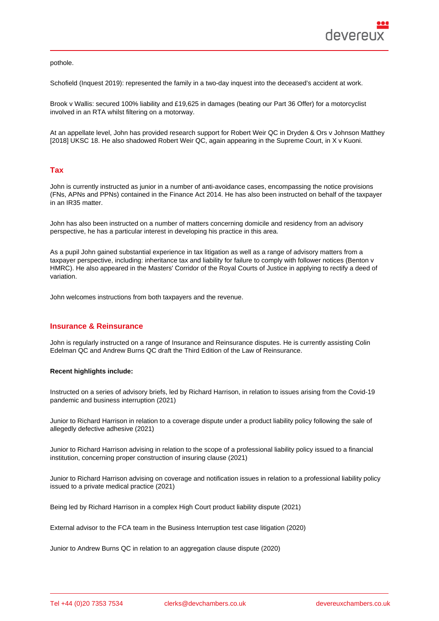pothole.

Schofield (Inquest 2019): represented the family in a two-day inquest into the deceased's accident at work.

Brook v Wallis: secured 100% liability and £19,625 in damages (beating our Part 36 Offer) for a motorcyclist involved in an RTA whilst filtering on a motorway.

At an appellate level, John has provided research support for Robert Weir QC in Dryden & Ors v Johnson Matthey [2018] UKSC 18. He also shadowed Robert Weir QC, again appearing in the Supreme Court, in X v Kuoni.

# Tax

John is currently instructed as junior in a number of anti-avoidance cases, encompassing the notice provisions (FNs, APNs and PPNs) contained in the Finance Act 2014. He has also been instructed on behalf of the taxpayer in an IR35 matter.

John has also been instructed on a number of matters concerning domicile and residency from an advisory perspective, he has a particular interest in developing his practice in this area.

As a pupil John gained substantial experience in tax litigation as well as a range of advisory matters from a taxpayer perspective, including: inheritance tax and liability for failure to comply with follower notices (Benton v HMRC). He also appeared in the Masters' Corridor of the Royal Courts of Justice in applying to rectify a deed of variation.

John welcomes instructions from both taxpayers and the revenue.

### Insurance & Reinsurance

John is regularly instructed on a range of Insurance and Reinsurance disputes. He is currently assisting Colin Edelman QC and Andrew Burns QC draft the Third Edition of the Law of Reinsurance.

Recent highlights include:

Instructed on a series of advisory briefs, led by Richard Harrison, in relation to issues arising from the Covid-19 pandemic and business interruption (2021)

Junior to Richard Harrison in relation to a coverage dispute under a product liability policy following the sale of allegedly defective adhesive (2021)

Junior to Richard Harrison advising in relation to the scope of a professional liability policy issued to a financial institution, concerning proper construction of insuring clause (2021)

Junior to Richard Harrison advising on coverage and notification issues in relation to a professional liability policy issued to a private medical practice (2021)

Being led by Richard Harrison in a complex High Court product liability dispute (2021)

External advisor to the FCA team in the Business Interruption test case litigation (2020)

Junior to Andrew Burns QC in relation to an aggregation clause dispute (2020)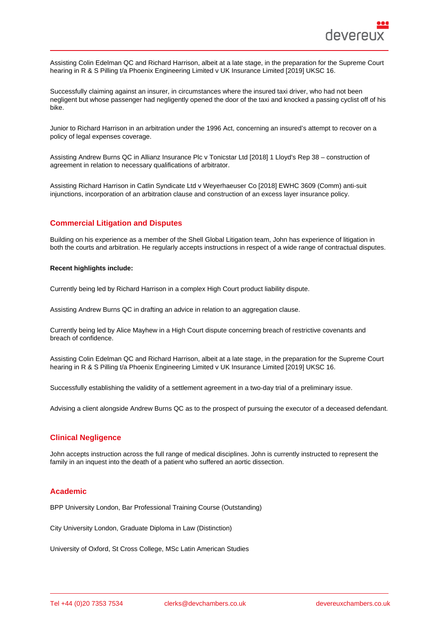Assisting Colin Edelman QC and Richard Harrison, albeit at a late stage, in the preparation for the Supreme Court hearing in R & S Pilling t/a Phoenix Engineering Limited v UK Insurance Limited [2019] UKSC 16.

Successfully claiming against an insurer, in circumstances where the insured taxi driver, who had not been negligent but whose passenger had negligently opened the door of the taxi and knocked a passing cyclist off of his bike.

Junior to Richard Harrison in an arbitration under the 1996 Act, concerning an insured's attempt to recover on a policy of legal expenses coverage.

Assisting Andrew Burns QC in Allianz Insurance Plc v Tonicstar Ltd [2018] 1 Lloyd's Rep 38 – construction of agreement in relation to necessary qualifications of arbitrator.

Assisting Richard Harrison in Catlin Syndicate Ltd v Weyerhaeuser Co [2018] EWHC 3609 (Comm) anti-suit injunctions, incorporation of an arbitration clause and construction of an excess layer insurance policy.

## Commercial Litigation and Disputes

Building on his experience as a member of the Shell Global Litigation team, John has experience of litigation in both the courts and arbitration. He regularly accepts instructions in respect of a wide range of contractual disputes.

Recent highlights include:

Currently being led by Richard Harrison in a complex High Court product liability dispute.

Assisting Andrew Burns QC in drafting an advice in relation to an aggregation clause.

Currently being led by Alice Mayhew in a High Court dispute concerning breach of restrictive covenants and breach of confidence.

Assisting Colin Edelman QC and Richard Harrison, albeit at a late stage, in the preparation for the Supreme Court hearing in R & S Pilling t/a Phoenix Engineering Limited v UK Insurance Limited [2019] UKSC 16.

Successfully establishing the validity of a settlement agreement in a two-day trial of a preliminary issue.

Advising a client alongside Andrew Burns QC as to the prospect of pursuing the executor of a deceased defendant.

### Clinical Negligence

John accepts instruction across the full range of medical disciplines. John is currently instructed to represent the family in an inquest into the death of a patient who suffered an aortic dissection.

### Academic

BPP University London, Bar Professional Training Course (Outstanding)

City University London, Graduate Diploma in Law (Distinction)

University of Oxford, St Cross College, MSc Latin American Studies